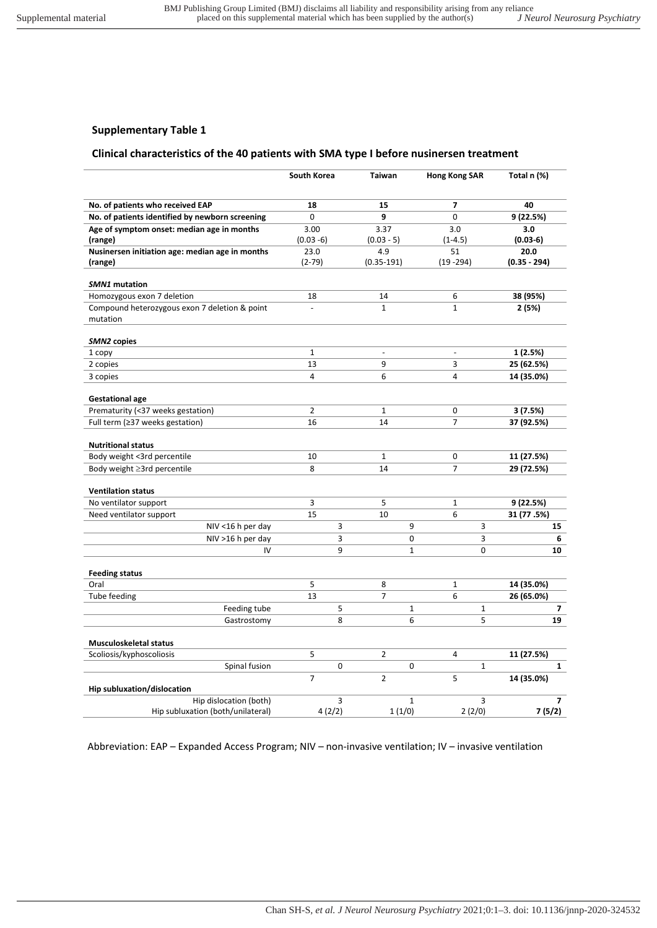# **Clinical characteristics of the 40 patients with SMA type I before nusinersen treatment**

|                                                 | South Korea    | <b>Taiwan</b>  | <b>Hong Kong SAR</b> | Total n (%)    |
|-------------------------------------------------|----------------|----------------|----------------------|----------------|
| No. of patients who received EAP                | 18             | 15             | 7                    | 40             |
| No. of patients identified by newborn screening | 0              | 9              | 0                    | 9 (22.5%)      |
| Age of symptom onset: median age in months      | 3.00           | 3.37           | 3.0                  | 3.0            |
| (range)                                         | $(0.03 - 6)$   | $(0.03 - 5)$   | $(1-4.5)$            | $(0.03-6)$     |
| Nusinersen initiation age: median age in months | 23.0           | 4.9            | 51                   | 20.0           |
| (range)                                         | $(2-79)$       | $(0.35 - 191)$ | $(19 - 294)$         | $(0.35 - 294)$ |
| SMN1 mutation                                   |                |                |                      |                |
| Homozygous exon 7 deletion                      | 18             | 14             | 6                    | 38 (95%)       |
| Compound heterozygous exon 7 deletion & point   |                | $\mathbf{1}$   | $\mathbf{1}$         | 2(5%)          |
| mutation                                        |                |                |                      |                |
| SMN2 copies                                     |                |                |                      |                |
| 1 copy                                          | $\mathbf{1}$   | $\overline{a}$ | $\overline{a}$       | 1(2.5%)        |
| 2 copies                                        | 13             | 9              | 3                    | 25 (62.5%)     |
| 3 copies                                        | 4              | 6              | 4                    | 14 (35.0%)     |
| <b>Gestational age</b>                          |                |                |                      |                |
| Prematurity (<37 weeks gestation)               | $\overline{2}$ | $\mathbf{1}$   | 0                    | 3(7.5%)        |
| Full term (≥37 weeks gestation)                 | 16             | 14             | 7                    | 37 (92.5%)     |
| <b>Nutritional status</b>                       |                |                |                      |                |
| Body weight <3rd percentile                     | 10             | $\mathbf{1}$   | 0                    | 11 (27.5%)     |
| Body weight ≥3rd percentile                     | 8              | 14             | $\overline{7}$       | 29 (72.5%)     |
| <b>Ventilation status</b>                       |                |                |                      |                |
| No ventilator support                           | 3              | 5              | 1                    | 9 (22.5%)      |
| Need ventilator support                         | 15             | 10             | 6                    | 31 (77.5%)     |
| NIV <16 h per day                               | 3              | 9              | 3                    | 15             |
| NIV >16 h per day                               | 3              | 0              | 3                    | 6              |
| IV                                              | 9              | $\mathbf 1$    | 0                    | 10             |
| <b>Feeding status</b>                           |                |                |                      |                |
| Oral                                            | 5              | 8              | 1                    | 14 (35.0%)     |
| Tube feeding                                    | 13             | 7              | 6                    | 26 (65.0%)     |
| Feeding tube                                    | 5              | $\mathbf 1$    | $\mathbf{1}$         | 7              |
| Gastrostomy                                     | 8              | 6              | 5                    | 19             |
| <b>Musculoskeletal status</b>                   |                |                |                      |                |
| Scoliosis/kyphoscoliosis                        | 5              | $\overline{2}$ | 4                    | 11 (27.5%)     |
| Spinal fusion                                   | 0              | 0              | $\mathbf{1}$         | $\mathbf{1}$   |
| Hip subluxation/dislocation                     | $\overline{7}$ | $\overline{2}$ | 5                    | 14 (35.0%)     |
| Hip dislocation (both)                          | 3              | $\mathbf 1$    | 3                    | $\overline{7}$ |
| Hip subluxation (both/unilateral)               | 4(2/2)         | 1(1/0)         | 2(2/0)               | 7(5/2)         |

Abbreviation: EAP – Expanded Access Program; NIV – non-invasive ventilation; IV – invasive ventilation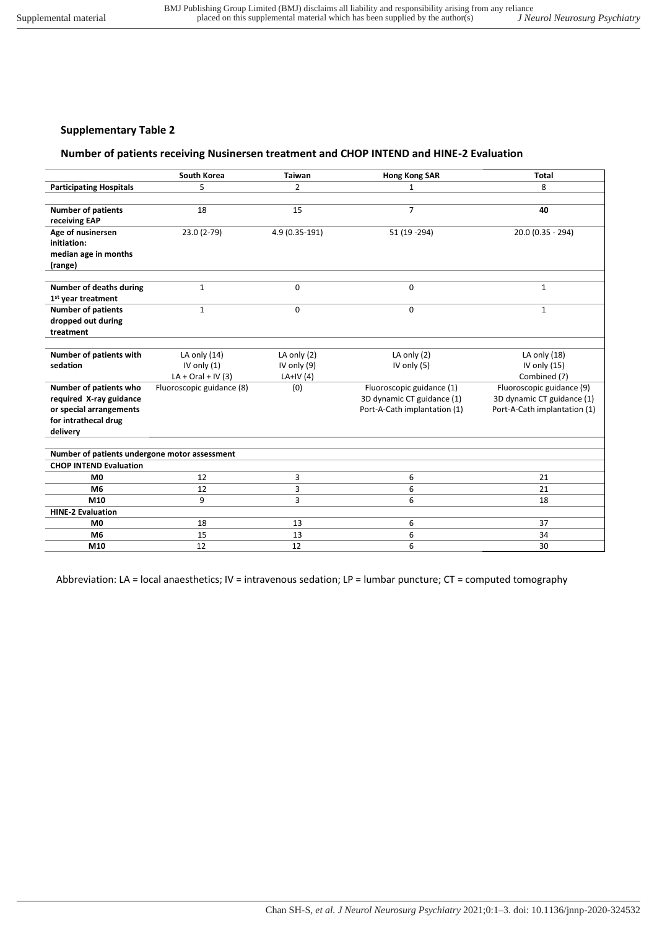# **Number of patients receiving Nusinersen treatment and CHOP INTEND and HINE-2 Evaluation**

|                                               | <b>South Korea</b>        | <b>Taiwan</b>  | <b>Hong Kong SAR</b>         | <b>Total</b>                 |  |
|-----------------------------------------------|---------------------------|----------------|------------------------------|------------------------------|--|
| <b>Participating Hospitals</b>                | 5                         | $\overline{2}$ | 1                            | 8                            |  |
|                                               |                           |                |                              |                              |  |
| <b>Number of patients</b>                     | 18                        | 15             | $\overline{7}$               | 40                           |  |
| receiving EAP                                 |                           |                |                              |                              |  |
| Age of nusinersen                             | $23.0(2-79)$              | 4.9 (0.35-191) | 51 (19 - 294)                | 20.0 (0.35 - 294)            |  |
| initiation:                                   |                           |                |                              |                              |  |
| median age in months                          |                           |                |                              |                              |  |
| (range)                                       |                           |                |                              |                              |  |
|                                               |                           |                |                              |                              |  |
| Number of deaths during                       | 1                         | $\mathbf 0$    | 0                            | $\mathbf{1}$                 |  |
| 1 <sup>st</sup> year treatment                |                           |                |                              |                              |  |
| <b>Number of patients</b>                     | $\mathbf{1}$              | $\Omega$       | 0                            | $\mathbf{1}$                 |  |
| dropped out during                            |                           |                |                              |                              |  |
| treatment                                     |                           |                |                              |                              |  |
|                                               |                           |                |                              |                              |  |
| Number of patients with                       | LA only $(14)$            | LA only $(2)$  | LA only (2)                  | LA only (18)                 |  |
| sedation                                      | IV only $(1)$             | IV only (9)    | IV only (5)                  | IV only $(15)$               |  |
|                                               | $LA + Oral + IV(3)$       | LA+IV $(4)$    |                              | Combined (7)                 |  |
| Number of patients who                        | Fluoroscopic guidance (8) | (0)            | Fluoroscopic guidance (1)    | Fluoroscopic guidance (9)    |  |
| required X-ray guidance                       |                           |                | 3D dynamic CT guidance (1)   | 3D dynamic CT guidance (1)   |  |
| or special arrangements                       |                           |                | Port-A-Cath implantation (1) | Port-A-Cath implantation (1) |  |
| for intrathecal drug                          |                           |                |                              |                              |  |
| delivery                                      |                           |                |                              |                              |  |
|                                               |                           |                |                              |                              |  |
| Number of patients undergone motor assessment |                           |                |                              |                              |  |
| <b>CHOP INTEND Evaluation</b>                 |                           |                |                              |                              |  |
| M <sub>0</sub>                                | 12                        | 3              | 6                            | 21                           |  |
| M <sub>6</sub>                                | 12                        | 3              | 6                            | 21                           |  |
| M10                                           | 9                         | 3              | 6                            | 18                           |  |
| <b>HINE-2 Evaluation</b>                      |                           |                |                              |                              |  |
| M <sub>0</sub>                                | 18                        | 13             | 6                            | 37                           |  |
| M <sub>6</sub>                                | 15                        | 13             | 6                            | 34                           |  |
| M10                                           | 12                        | 12             | 6                            | 30                           |  |

Abbreviation: LA = local anaesthetics; IV = intravenous sedation; LP = lumbar puncture; CT = computed tomography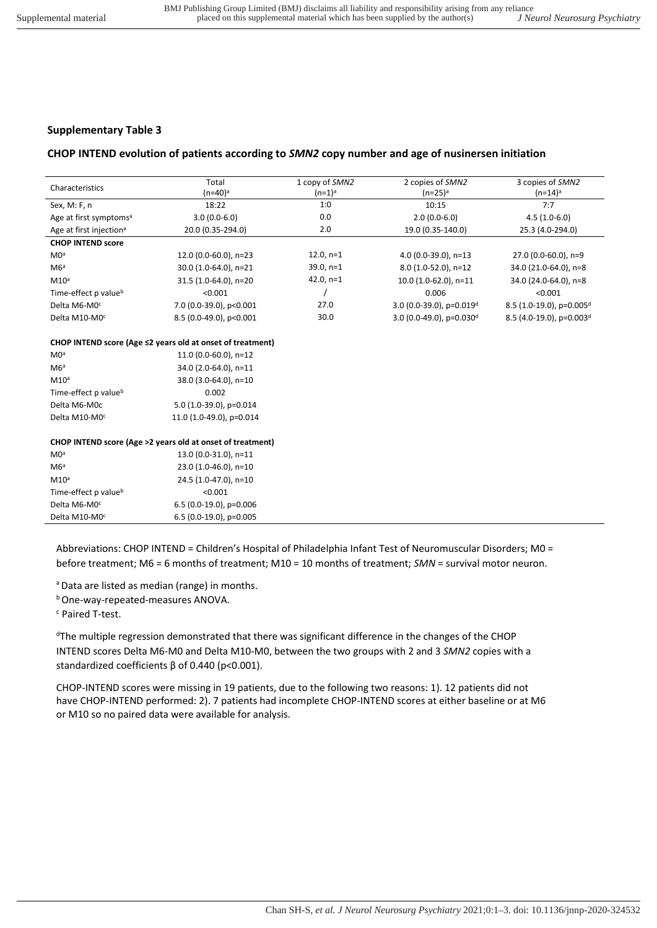## **CHOP INTEND evolution of patients according to** *SMN2* **copy number and age of nusinersen initiation**

| Characteristics                     | Total<br>(n=40) <sup>a</sup> | 1 copy of SMN2<br>$(n=1)^a$ | 2 copies of SMN2<br>$(n=25)^a$       | 3 copies of SMN2<br>$(n=14)^a$       |
|-------------------------------------|------------------------------|-----------------------------|--------------------------------------|--------------------------------------|
| Sex, M: F, n                        | 18:22                        | 1:0                         | 10:15                                | 7:7                                  |
| Age at first symptoms <sup>a</sup>  | $3.0(0.0-6.0)$               | 0.0                         | $2.0(0.0-6.0)$                       | $4.5(1.0-6.0)$                       |
| Age at first injection <sup>a</sup> | 20.0 (0.35-294.0)            | 2.0                         | 19.0 (0.35-140.0)                    | 25.3 (4.0-294.0)                     |
| <b>CHOP INTEND score</b>            |                              |                             |                                      |                                      |
| MO <sup>a</sup>                     | 12.0 (0.0-60.0), n=23        | $12.0, n=1$                 | 4.0 $(0.0-39.0)$ , n=13              | 27.0 (0.0-60.0), n=9                 |
| M6a                                 | 30.0 (1.0-64.0), n=21        | $39.0, n=1$                 | 8.0 (1.0-52.0), n=12                 | 34.0 (21.0-64.0), n=8                |
| M10 <sup>a</sup>                    | 31.5 (1.0-64.0), n=20        | 42.0, $n=1$                 | $10.0(1.0-62.0)$ , n=11              | 34.0 (24.0-64.0), n=8                |
| Time-effect p value <sup>b</sup>    | < 0.001                      |                             | 0.006                                | < 0.001                              |
| Delta M6-M0 <sup>c</sup>            | 7.0 (0.0-39.0), p<0.001      | 27.0                        | 3.0 (0.0-39.0), p=0.019 <sup>d</sup> | 8.5 (1.0-19.0), p=0.005 <sup>d</sup> |
| Delta M10-M0 <sup>c</sup>           | 8.5 (0.0-49.0), p<0.001      | 30.0                        | 3.0 (0.0-49.0), $p=0.030d$           | 8.5 (4.0-19.0), p=0.003 <sup>d</sup> |

#### **CHOP INTEND score (Age ≤2 years old at onset of treatment)**

| MO <sup>a</sup>                  | 11.0 $(0.0 - 60.0)$ , n=12 |
|----------------------------------|----------------------------|
| MG <sup>a</sup>                  | 34.0 (2.0-64.0), n=11      |
| M10 <sup>a</sup>                 | 38.0 (3.0-64.0), n=10      |
| Time-effect p value <sup>b</sup> | 0.002                      |
| Delta M6-M0c                     | 5.0 (1.0-39.0), p=0.014    |
| Delta M10-M0 <sup>c</sup>        | 11.0 (1.0-49.0), p=0.014   |

#### **CHOP INTEND score (Age >2 years old at onset of treatment)**

| Delta M10-M0c                    | $6.5(0.0-19.0)$ , p=0.005 |
|----------------------------------|---------------------------|
| Delta M6-M0 <sup>c</sup>         | $6.5(0.0-19.0)$ , p=0.006 |
| Time-effect p value <sup>b</sup> | < 0.001                   |
| M10 <sup>a</sup>                 | 24.5 (1.0-47.0), n=10     |
| M6 <sup>a</sup>                  | 23.0 (1.0-46.0), n=10     |
| MO <sup>a</sup>                  | 13.0 (0.0-31.0), n=11     |
|                                  |                           |

Abbreviations: CHOP INTEND = Children's Hospital of Philadelphia Infant Test of Neuromuscular Disorders; M0 = before treatment; M6 = 6 months of treatment; M10 = 10 months of treatment; *SMN* = survival motor neuron.

<sup>a</sup> Data are listed as median (range) in months.

**b** One-way-repeated-measures ANOVA.

c Paired T-test.

<sup>d</sup>The multiple regression demonstrated that there was significant difference in the changes of the CHOP INTEND scores Delta M6-M0 and Delta M10-M0, between the two groups with 2 and 3 *SMN2* copies with a standardized coefficients β of 0.440 (p<0.001).

CHOP-INTEND scores were missing in 19 patients, due to the following two reasons: 1). 12 patients did not have CHOP-INTEND performed: 2). 7 patients had incomplete CHOP-INTEND scores at either baseline or at M6 or M10 so no paired data were available for analysis.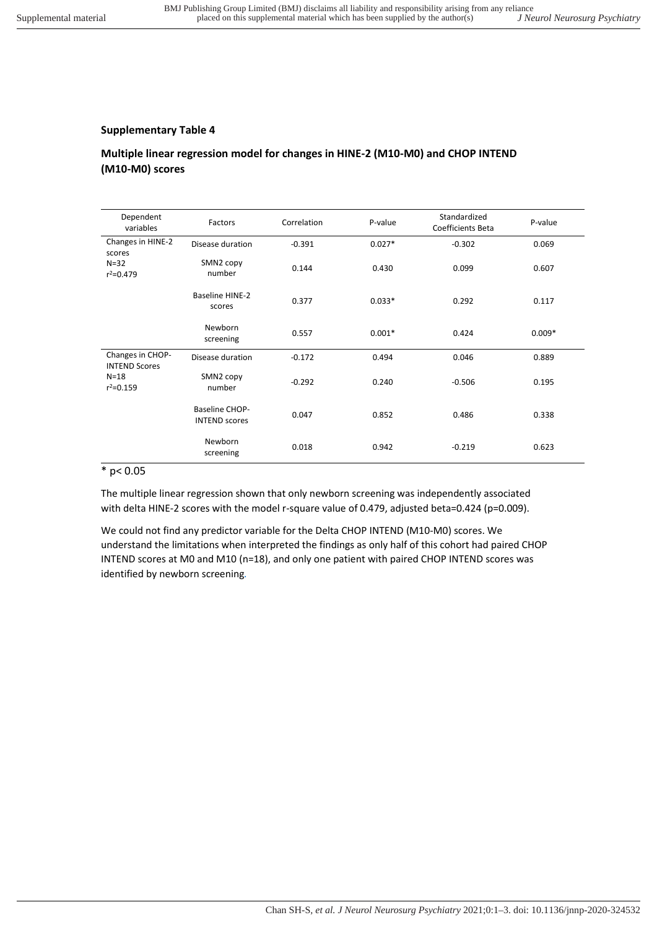# **Multiple linear regression model for changes in HINE-2 (M10-M0) and CHOP INTEND (M10-M0) scores**

| Dependent<br>variables                   | Factors                                | Correlation | P-value  | Standardized<br>Coefficients Beta | P-value  |
|------------------------------------------|----------------------------------------|-------------|----------|-----------------------------------|----------|
| Changes in HINE-2<br>scores              | Disease duration                       | $-0.391$    | $0.027*$ | $-0.302$                          | 0.069    |
| $N=32$<br>$r^2 = 0.479$                  | SMN2 copy<br>number                    | 0.144       | 0.430    | 0.099                             | 0.607    |
|                                          | <b>Baseline HINE-2</b><br>scores       | 0.377       | $0.033*$ | 0.292                             | 0.117    |
|                                          | Newborn<br>screening                   | 0.557       | $0.001*$ | 0.424                             | $0.009*$ |
| Changes in CHOP-<br><b>INTEND Scores</b> | Disease duration                       | $-0.172$    | 0.494    | 0.046                             | 0.889    |
| $N=18$<br>$r^2 = 0.159$                  | SMN2 copy<br>number                    | $-0.292$    | 0.240    | $-0.506$                          | 0.195    |
|                                          | Baseline CHOP-<br><b>INTEND scores</b> | 0.047       | 0.852    | 0.486                             | 0.338    |
|                                          | Newborn<br>screening                   | 0.018       | 0.942    | $-0.219$                          | 0.623    |

# $*$  p< 0.05

The multiple linear regression shown that only newborn screening was independently associated with delta HINE-2 scores with the model r-square value of 0.479, adjusted beta=0.424 (p=0.009).

We could not find any predictor variable for the Delta CHOP INTEND (M10-M0) scores. We understand the limitations when interpreted the findings as only half of this cohort had paired CHOP INTEND scores at M0 and M10 (n=18), and only one patient with paired CHOP INTEND scores was identified by newborn screening*.*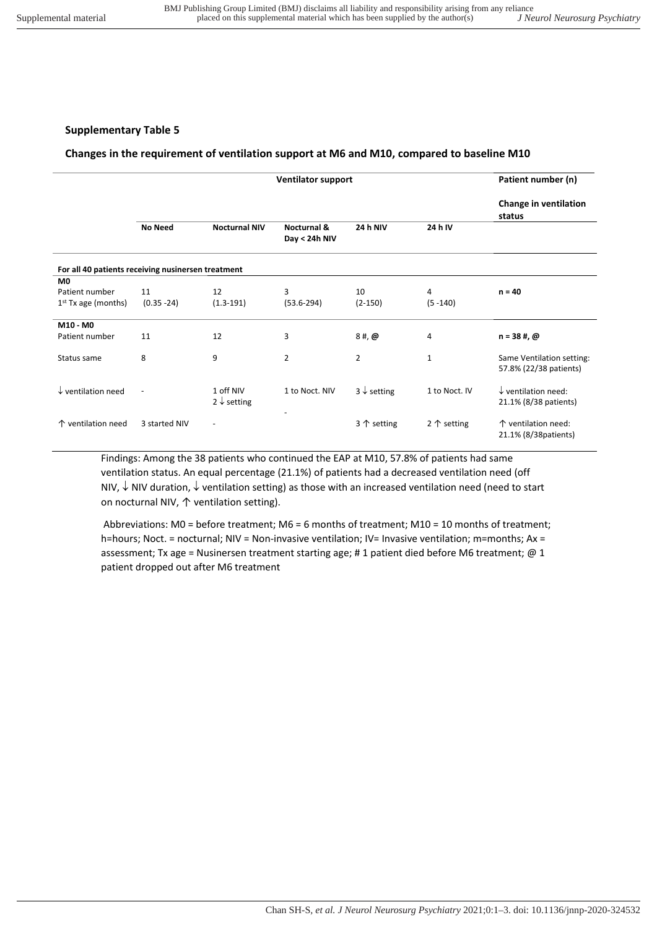## **Changes in the requirement of ventilation support at M6 and M10, compared to baseline M10**

|                                                    | <b>Ventilator support</b> |                                     |                              |                        |                      | Patient number (n)                                      |  |
|----------------------------------------------------|---------------------------|-------------------------------------|------------------------------|------------------------|----------------------|---------------------------------------------------------|--|
|                                                    |                           |                                     |                              |                        |                      | Change in ventilation<br>status                         |  |
|                                                    | No Need                   | <b>Nocturnal NIV</b>                | Nocturnal &<br>Day < 24h NIV | <b>24 h NIV</b>        | 24 h IV              |                                                         |  |
| For all 40 patients receiving nusinersen treatment |                           |                                     |                              |                        |                      |                                                         |  |
| M <sub>0</sub>                                     |                           |                                     |                              |                        |                      |                                                         |  |
| Patient number                                     | 11                        | 12                                  | 3                            | 10                     | 4                    | $n = 40$                                                |  |
| $1st$ Tx age (months)                              | $(0.35 - 24)$             | $(1.3-191)$                         | $(53.6 - 294)$               | $(2-150)$              | $(5 - 140)$          |                                                         |  |
| M10 - M0                                           |                           |                                     |                              |                        |                      |                                                         |  |
| Patient number                                     | 11                        | 12                                  | 3                            | 8#, Q                  | 4                    | $n = 38$ #, $@$                                         |  |
| Status same                                        | 8                         | 9                                   | 2                            | 2                      | $\mathbf{1}$         | Same Ventilation setting:<br>57.8% (22/38 patients)     |  |
| $\downarrow$ ventilation need                      | $\overline{\phantom{a}}$  | 1 off NIV<br>$2 \downarrow$ setting | 1 to Noct, NIV               | $3 \downarrow$ setting | 1 to Noct. IV        | $\downarrow$ ventilation need:<br>21.1% (8/38 patients) |  |
| ↑ ventilation need                                 | 3 started NIV             | ٠                                   |                              | $3 \uparrow$ setting   | 2 $\uparrow$ setting | ↑ ventilation need:<br>21.1% (8/38patients)             |  |

Findings: Among the 38 patients who continued the EAP at M10, 57.8% of patients had same ventilation status. An equal percentage (21.1%) of patients had a decreased ventilation need (off NIV,  $\downarrow$  NIV duration,  $\downarrow$  ventilation setting) as those with an increased ventilation need (need to start on nocturnal NIV, ↑ ventilation setting).

 Abbreviations: M0 = before treatment; M6 = 6 months of treatment; M10 = 10 months of treatment; h=hours; Noct. = nocturnal; NIV = Non-invasive ventilation; IV= Invasive ventilation; m=months; Ax = assessment; Tx age = Nusinersen treatment starting age; #1 patient died before M6 treatment; @ 1 patient dropped out after M6 treatment